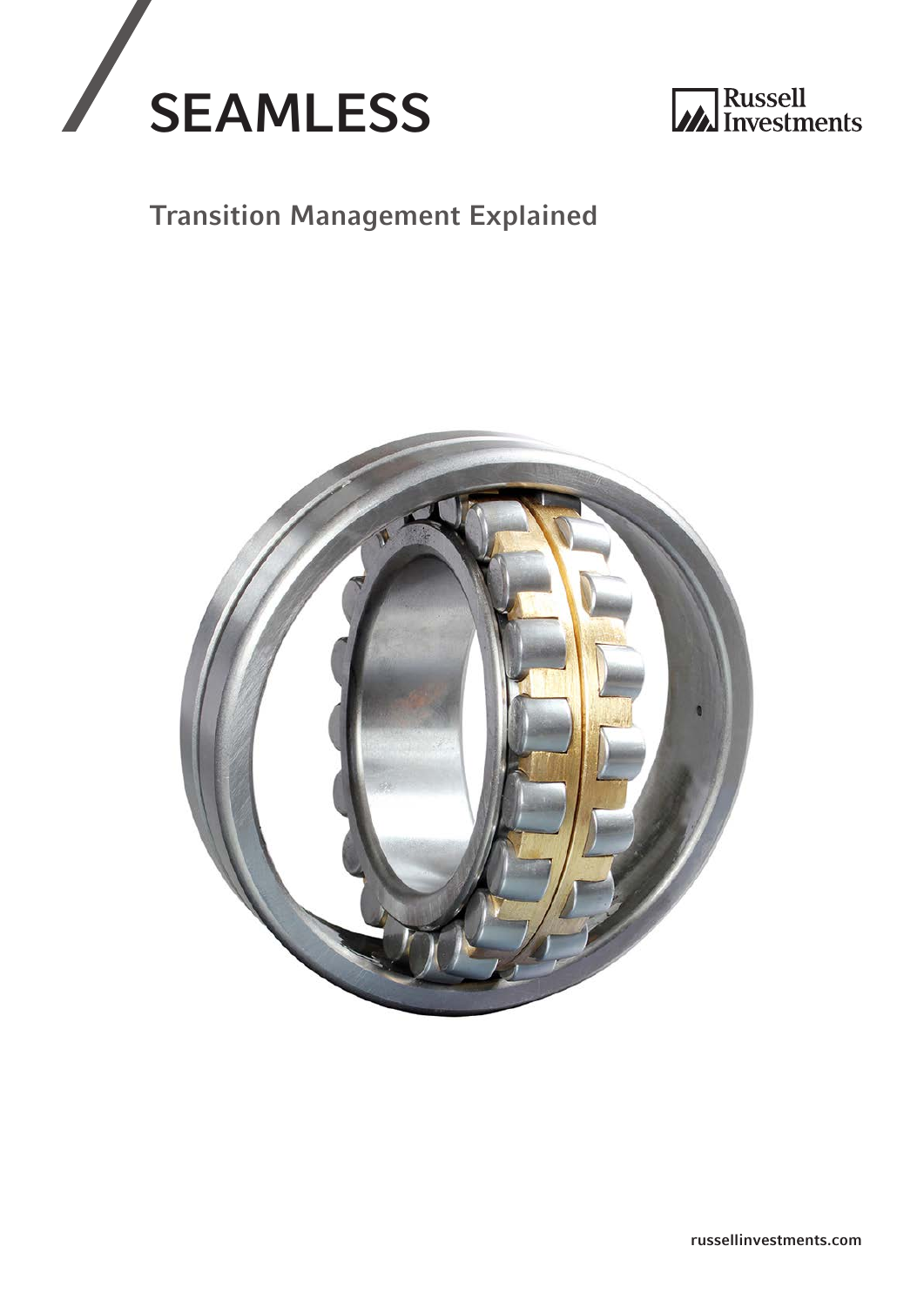



## Transition Management Explained

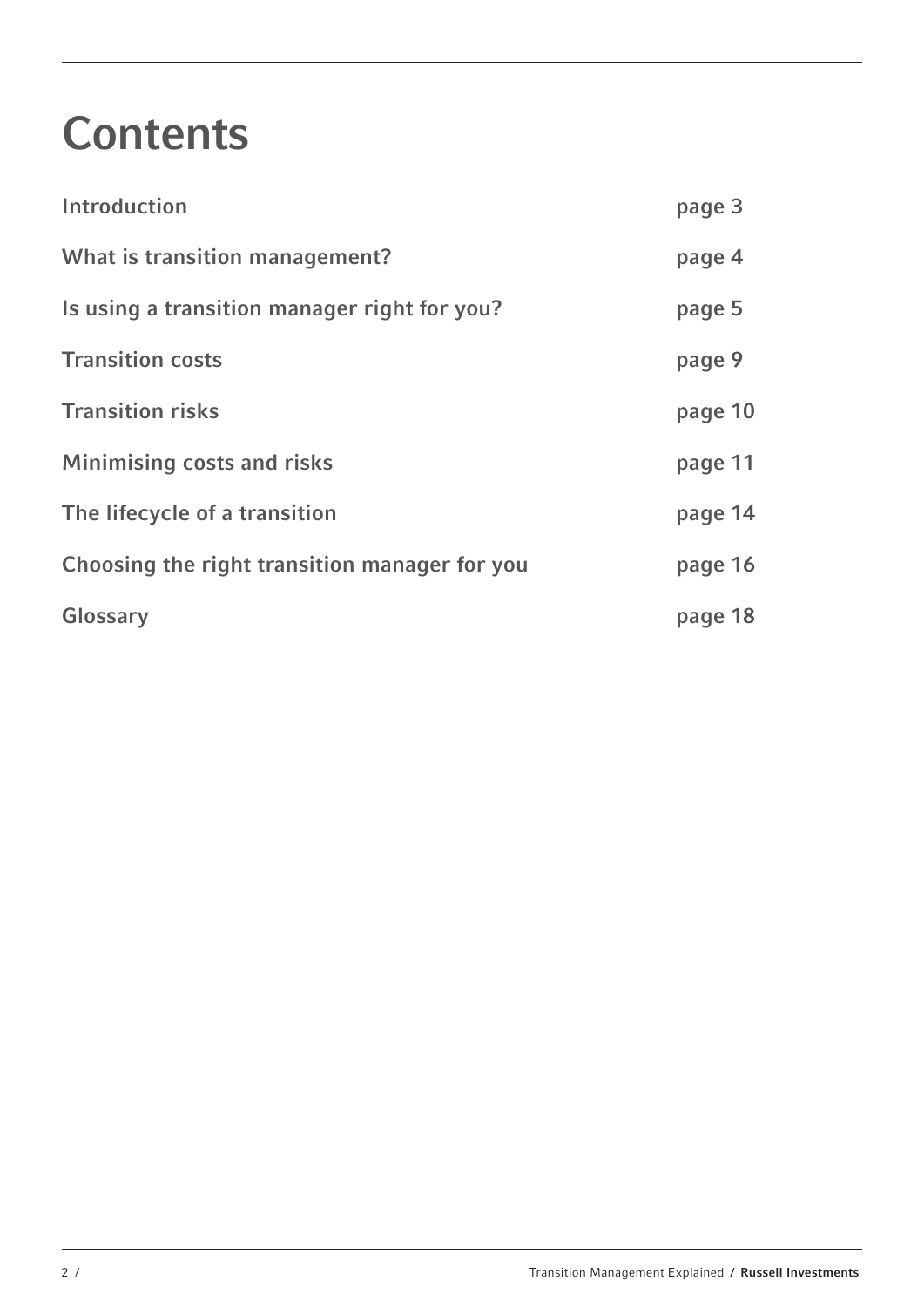## **Contents**

| Introduction                                  | page 3  |
|-----------------------------------------------|---------|
| What is transition management?                | page 4  |
| Is using a transition manager right for you?  | page 5  |
| <b>Transition costs</b>                       | page 9  |
| <b>Transition risks</b>                       | page 10 |
| <b>Minimising costs and risks</b>             | page 11 |
| The lifecycle of a transition                 | page 14 |
| Choosing the right transition manager for you | page 16 |
| Glossary                                      | page 18 |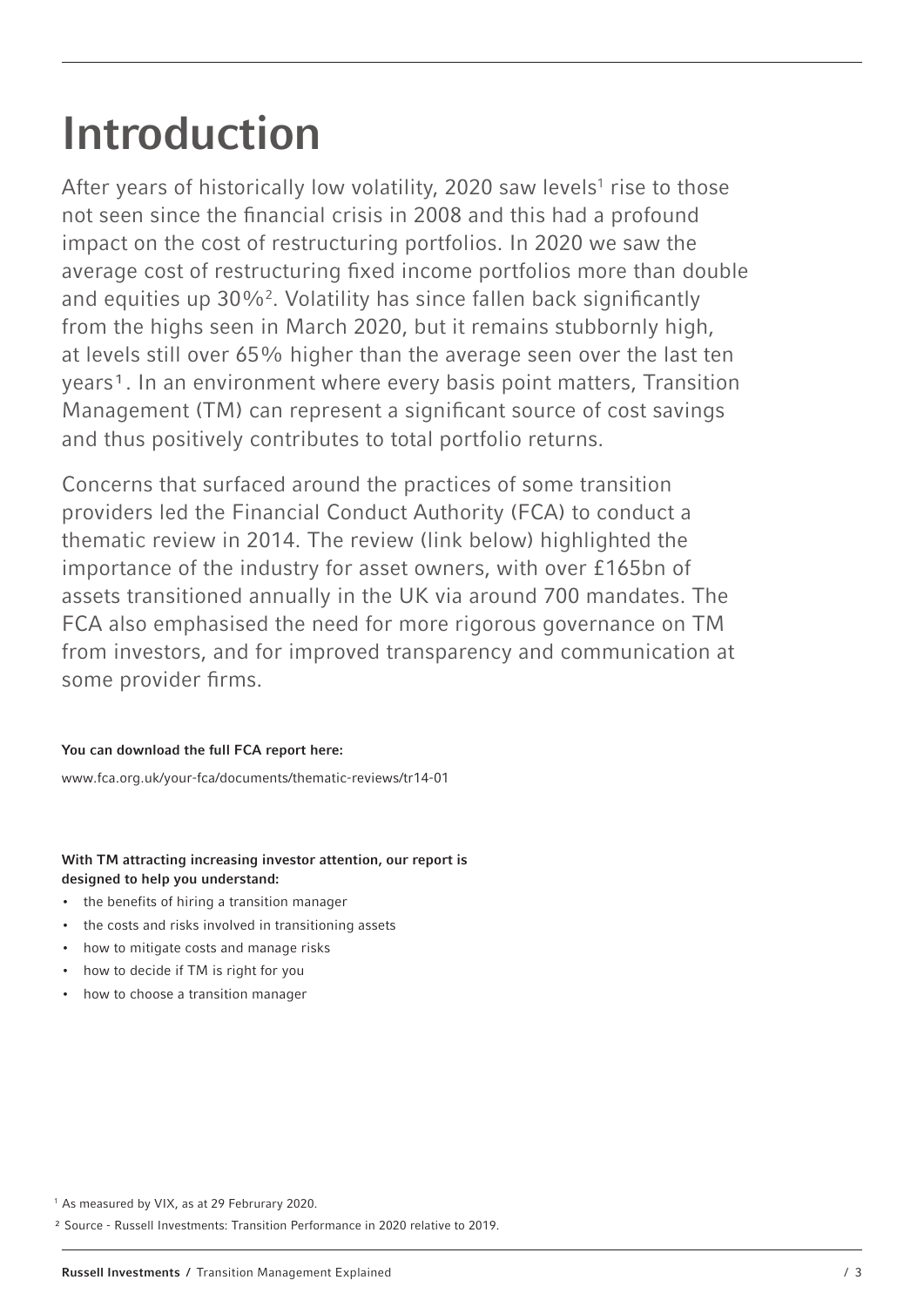# Introduction

After years of historically low volatility, 2020 saw levels<sup>1</sup> rise to those not seen since the financial crisis in 2008 and this had a profound impact on the cost of restructuring portfolios. In 2020 we saw the average cost of restructuring fixed income portfolios more than double and equities up 30%<sup>2</sup>. Volatility has since fallen back significantly from the highs seen in March 2020, but it remains stubbornly high, at levels still over 65% higher than the average seen over the last ten years<sup>1</sup>. In an environment where every basis point matters, Transition Management (TM) can represent a significant source of cost savings and thus positively contributes to total portfolio returns.

Concerns that surfaced around the practices of some transition providers led the Financial Conduct Authority (FCA) to conduct a thematic review in 2014. The review (link below) highlighted the importance of the industry for asset owners, with over £165bn of assets transitioned annually in the UK via around 700 mandates. The FCA also emphasised the need for more rigorous governance on TM from investors, and for improved transparency and communication at some provider firms.

#### You can download the full FCA report here:

www.fca.org.uk/your-fca/documents/thematic-reviews/tr14-01

#### With TM attracting increasing investor attention, our report is designed to help you understand:

- the benefits of hiring a transition manager
- the costs and risks involved in transitioning assets
- how to mitigate costs and manage risks
- how to decide if TM is right for you
- how to choose a transition manager

² Source - Russell Investments: Transition Performance in 2020 relative to 2019.

<sup>&</sup>lt;sup>1</sup> As measured by VIX, as at 29 Februrary 2020.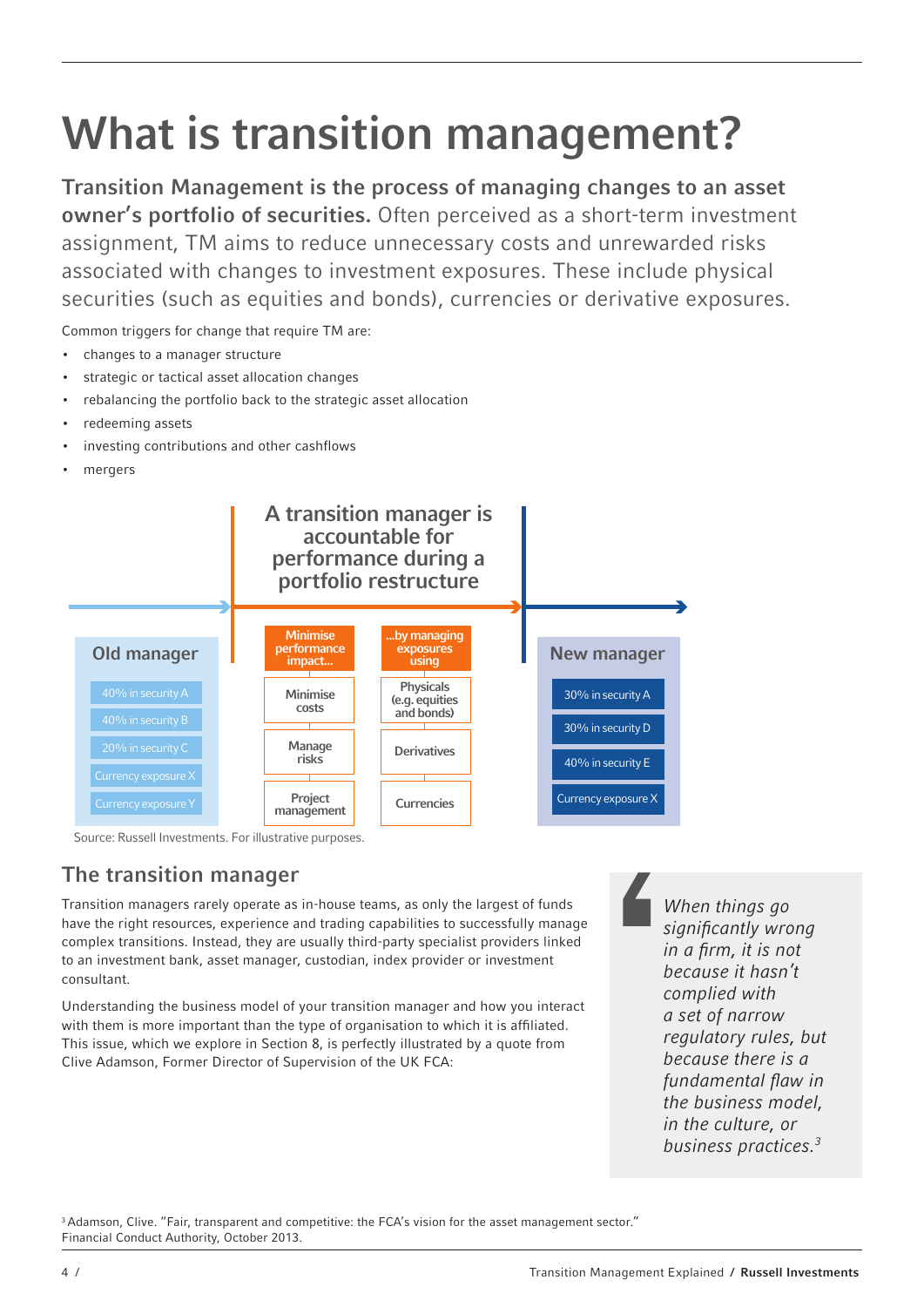# What is transition management?

Transition Management is the process of managing changes to an asset owner's portfolio of securities. Often perceived as a short-term investment assignment, TM aims to reduce unnecessary costs and unrewarded risks associated with changes to investment exposures. These include physical securities (such as equities and bonds), currencies or derivative exposures.

Common triggers for change that require TM are:

- changes to a manager structure
- strategic or tactical asset allocation changes
- rebalancing the portfolio back to the strategic asset allocation
- redeeming assets
- investing contributions and other cashflows
- mergers



Source: Russell Investments. For illustrative purposes.

## The transition manager

Transition managers rarely operate as in-house teams, as only the largest of funds have the right resources, experience and trading capabilities to successfully manage complex transitions. Instead, they are usually third-party specialist providers linked to an investment bank, asset manager, custodian, index provider or investment consultant.

Understanding the business model of your transition manager and how you interact with them is more important than the type of organisation to which it is affiliated. This issue, which we explore in Section 8, is perfectly illustrated by a quote from Clive Adamson, Former Director of Supervision of the UK FCA:

When things go significantly wrong in a firm, it is not because it hasn't complied with a set of narrow regulatory rules, but because there is a fundamental flaw in the business model, in the culture, or business practices.3

<sup>3</sup> Adamson, Clive. "Fair, transparent and competitive: the FCA's vision for the asset management sector." Financial Conduct Authority, October 2013.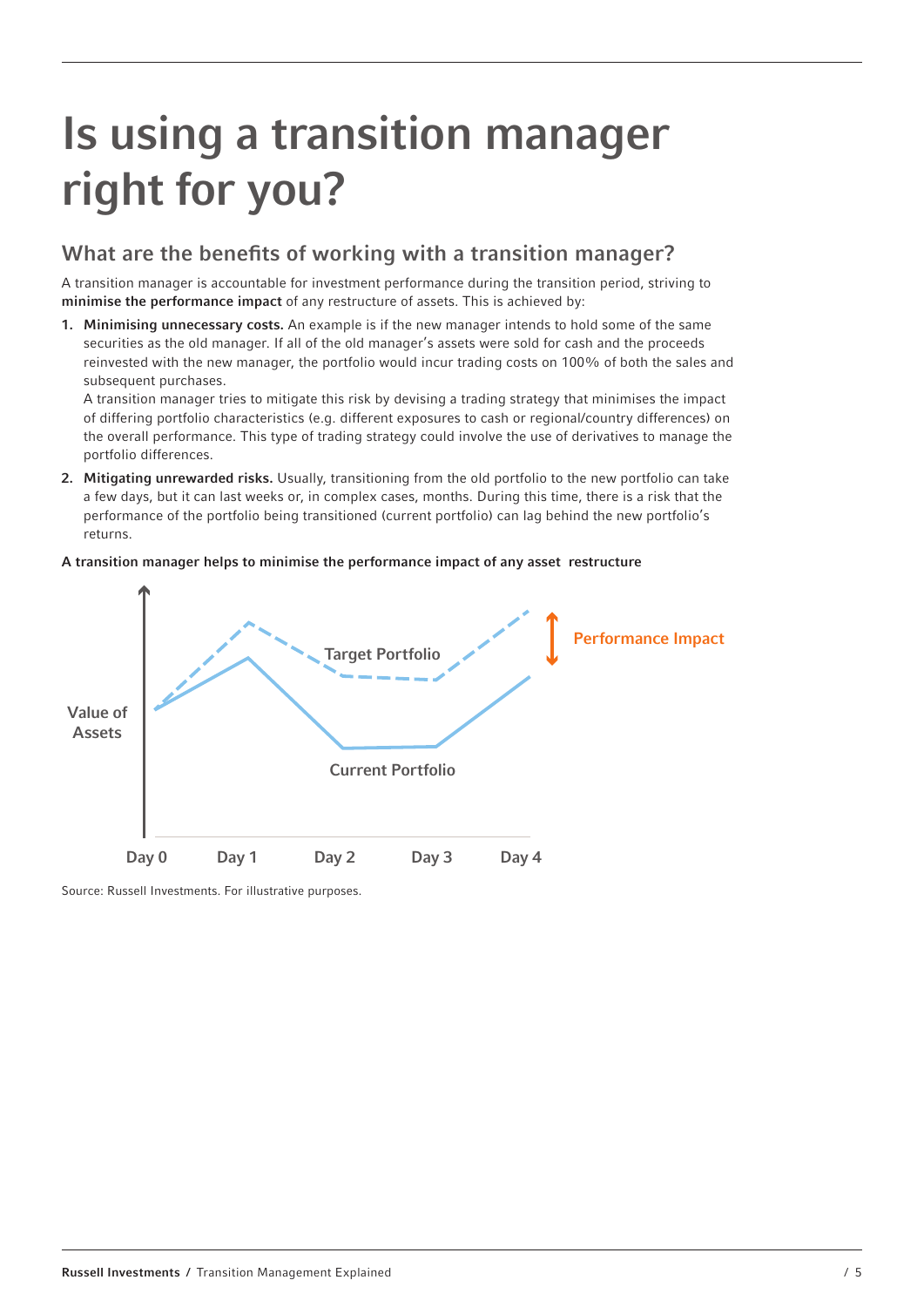## Is using a transition manager right for you?

### What are the benefits of working with a transition manager?

A transition manager is accountable for investment performance during the transition period, striving to minimise the performance impact of any restructure of assets. This is achieved by:

1. Minimising unnecessary costs. An example is if the new manager intends to hold some of the same securities as the old manager. If all of the old manager's assets were sold for cash and the proceeds reinvested with the new manager, the portfolio would incur trading costs on 100% of both the sales and subsequent purchases.

A transition manager tries to mitigate this risk by devising a trading strategy that minimises the impact of differing portfolio characteristics (e.g. different exposures to cash or regional/country differences) on the overall performance. This type of trading strategy could involve the use of derivatives to manage the portfolio differences.

2. Mitigating unrewarded risks. Usually, transitioning from the old portfolio to the new portfolio can take a few days, but it can last weeks or, in complex cases, months. During this time, there is a risk that the performance of the portfolio being transitioned (current portfolio) can lag behind the new portfolio's returns.

#### A transition manager helps to minimise the performance impact of any asset restructure



Source: Russell Investments. For illustrative purposes.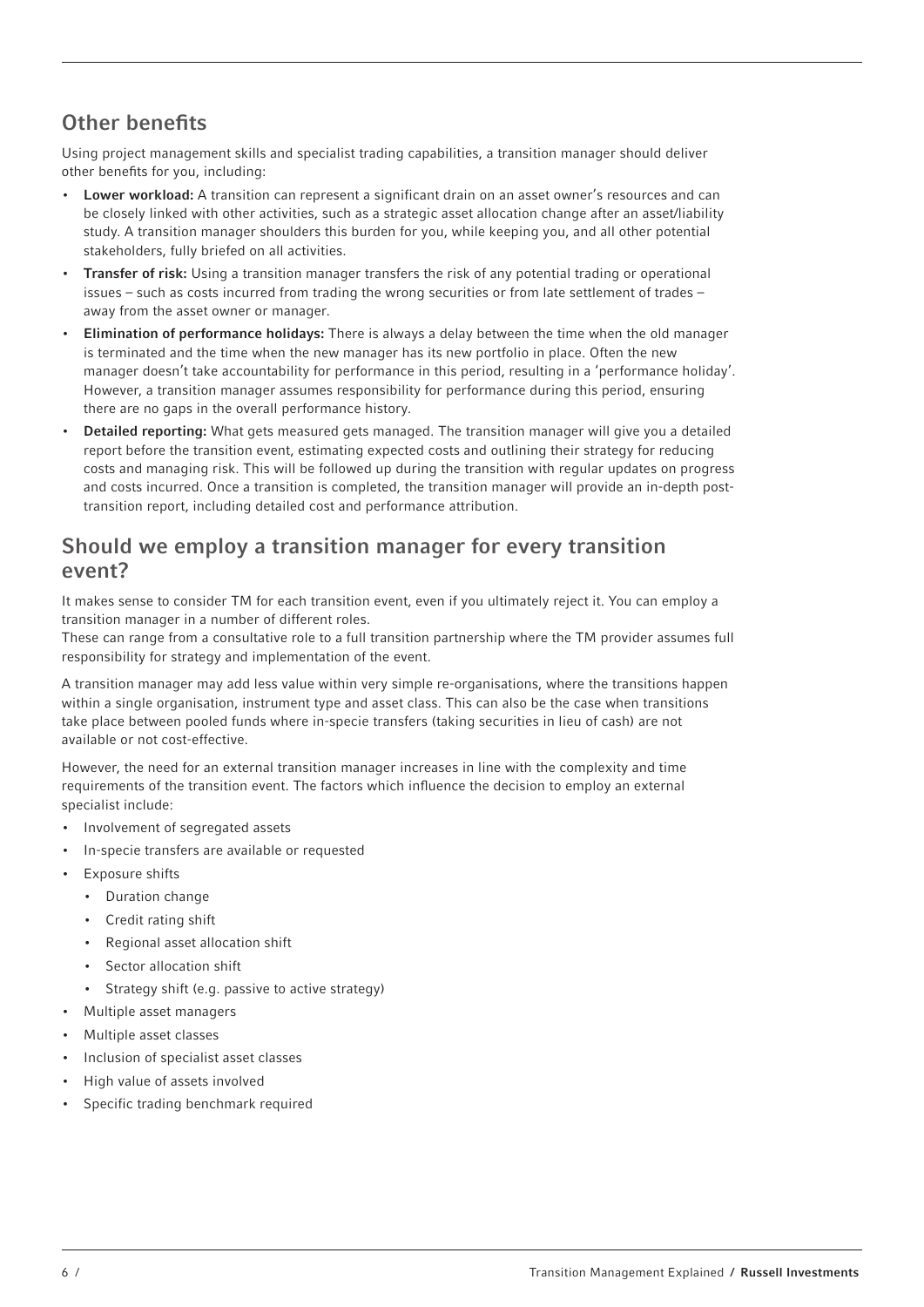## Other benefits

Using project management skills and specialist trading capabilities, a transition manager should deliver other benefits for you, including:

- Lower workload: A transition can represent a significant drain on an asset owner's resources and can be closely linked with other activities, such as a strategic asset allocation change after an asset/liability study. A transition manager shoulders this burden for you, while keeping you, and all other potential stakeholders, fully briefed on all activities.
- **Transfer of risk:** Using a transition manager transfers the risk of any potential trading or operational issues – such as costs incurred from trading the wrong securities or from late settlement of trades – away from the asset owner or manager.
- **Elimination of performance holidays:** There is always a delay between the time when the old manager is terminated and the time when the new manager has its new portfolio in place. Often the new manager doesn't take accountability for performance in this period, resulting in a 'performance holiday'. However, a transition manager assumes responsibility for performance during this period, ensuring there are no gaps in the overall performance history.
- Detailed reporting: What gets measured gets managed. The transition manager will give you a detailed report before the transition event, estimating expected costs and outlining their strategy for reducing costs and managing risk. This will be followed up during the transition with regular updates on progress and costs incurred. Once a transition is completed, the transition manager will provide an in-depth posttransition report, including detailed cost and performance attribution.

### Should we employ a transition manager for every transition event?

It makes sense to consider TM for each transition event, even if you ultimately reject it. You can employ a transition manager in a number of different roles.

These can range from a consultative role to a full transition partnership where the TM provider assumes full responsibility for strategy and implementation of the event.

A transition manager may add less value within very simple re-organisations, where the transitions happen within a single organisation, instrument type and asset class. This can also be the case when transitions take place between pooled funds where in-specie transfers (taking securities in lieu of cash) are not available or not cost-effective.

However, the need for an external transition manager increases in line with the complexity and time requirements of the transition event. The factors which influence the decision to employ an external specialist include:

- Involvement of segregated assets
- In-specie transfers are available or requested
- Exposure shifts
	- Duration change
	- Credit rating shift
	- Regional asset allocation shift
	- Sector allocation shift
	- Strategy shift (e.g. passive to active strategy)
- Multiple asset managers
- Multiple asset classes
- Inclusion of specialist asset classes
- High value of assets involved
- Specific trading benchmark required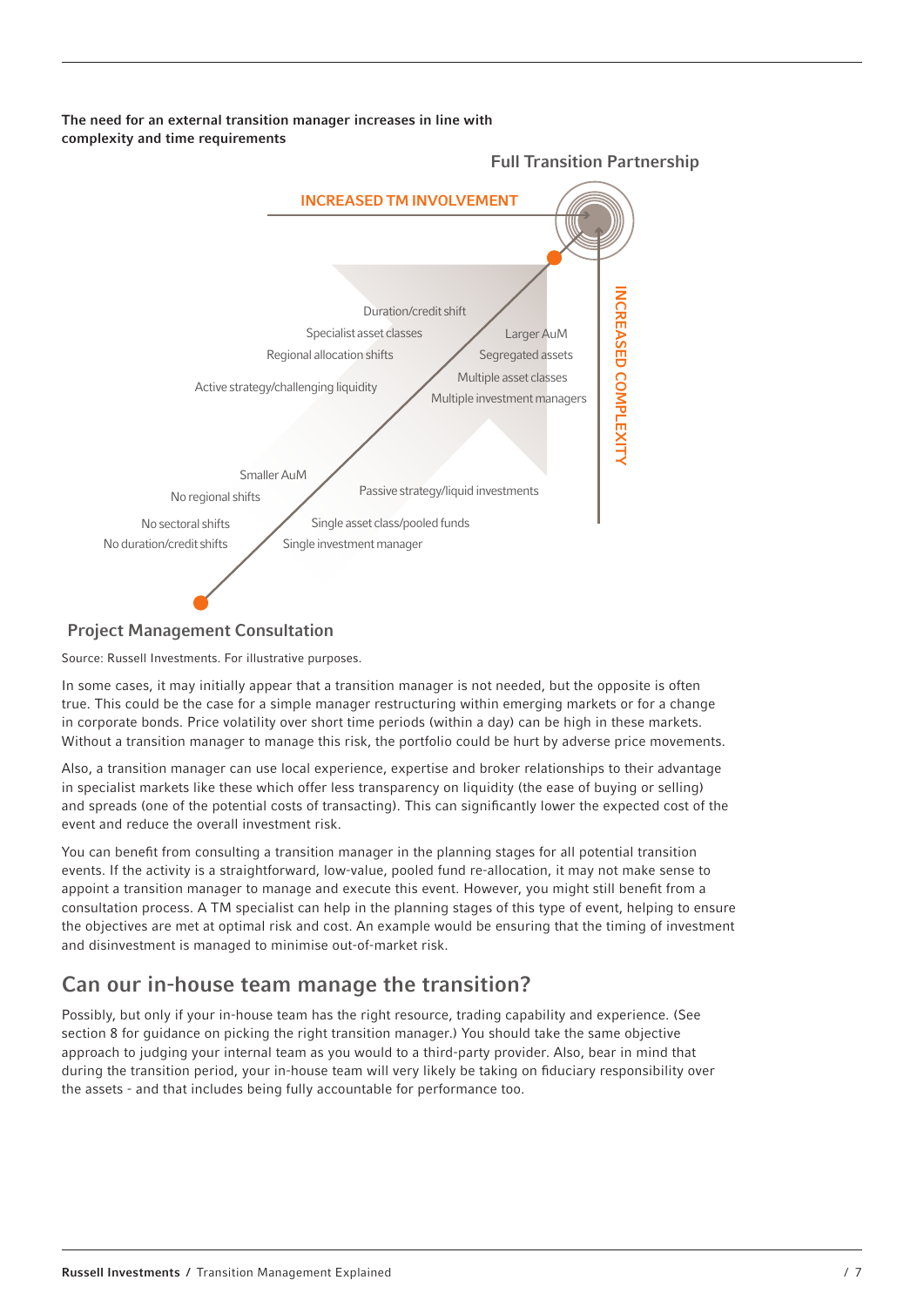The need for an external transition manager increases in line with complexity and time requirements



Full Transition Partnership

#### Project Management Consultation

Source: Russell Investments. For illustrative purposes.

In some cases, it may initially appear that a transition manager is not needed, but the opposite is often true. This could be the case for a simple manager restructuring within emerging markets or for a change in corporate bonds. Price volatility over short time periods (within a day) can be high in these markets. Without a transition manager to manage this risk, the portfolio could be hurt by adverse price movements.

Also, a transition manager can use local experience, expertise and broker relationships to their advantage in specialist markets like these which offer less transparency on liquidity (the ease of buying or selling) and spreads (one of the potential costs of transacting). This can significantly lower the expected cost of the event and reduce the overall investment risk.

You can benefit from consulting a transition manager in the planning stages for all potential transition events. If the activity is a straightforward, low-value, pooled fund re-allocation, it may not make sense to appoint a transition manager to manage and execute this event. However, you might still benefit from a consultation process. A TM specialist can help in the planning stages of this type of event, helping to ensure the objectives are met at optimal risk and cost. An example would be ensuring that the timing of investment and disinvestment is managed to minimise out-of-market risk.

## Can our in-house team manage the transition?

Possibly, but only if your in-house team has the right resource, trading capability and experience. (See section 8 for guidance on picking the right transition manager.) You should take the same objective approach to judging your internal team as you would to a third-party provider. Also, bear in mind that during the transition period, your in-house team will very likely be taking on fiduciary responsibility over the assets - and that includes being fully accountable for performance too.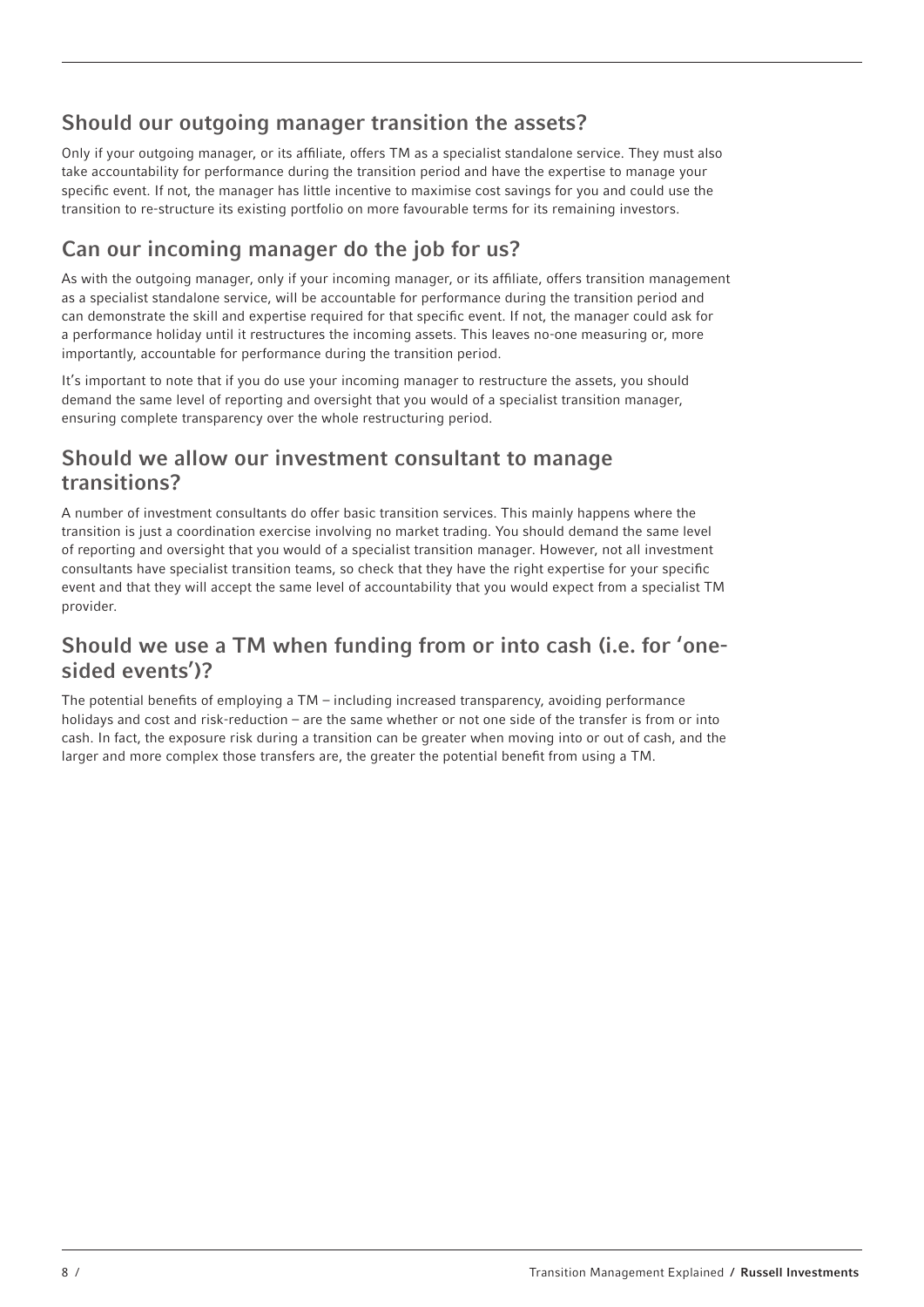## Should our outgoing manager transition the assets?

Only if your outgoing manager, or its affiliate, offers TM as a specialist standalone service. They must also take accountability for performance during the transition period and have the expertise to manage your specific event. If not, the manager has little incentive to maximise cost savings for you and could use the transition to re-structure its existing portfolio on more favourable terms for its remaining investors.

## Can our incoming manager do the job for us?

As with the outgoing manager, only if your incoming manager, or its affiliate, offers transition management as a specialist standalone service, will be accountable for performance during the transition period and can demonstrate the skill and expertise required for that specific event. If not, the manager could ask for a performance holiday until it restructures the incoming assets. This leaves no-one measuring or, more importantly, accountable for performance during the transition period.

It's important to note that if you do use your incoming manager to restructure the assets, you should demand the same level of reporting and oversight that you would of a specialist transition manager, ensuring complete transparency over the whole restructuring period.

### Should we allow our investment consultant to manage transitions?

A number of investment consultants do offer basic transition services. This mainly happens where the transition is just a coordination exercise involving no market trading. You should demand the same level of reporting and oversight that you would of a specialist transition manager. However, not all investment consultants have specialist transition teams, so check that they have the right expertise for your specific event and that they will accept the same level of accountability that you would expect from a specialist TM provider.

## Should we use a TM when funding from or into cash (i.e. for 'onesided events')?

The potential benefits of employing a TM – including increased transparency, avoiding performance holidays and cost and risk-reduction – are the same whether or not one side of the transfer is from or into cash. In fact, the exposure risk during a transition can be greater when moving into or out of cash, and the larger and more complex those transfers are, the greater the potential benefit from using a TM.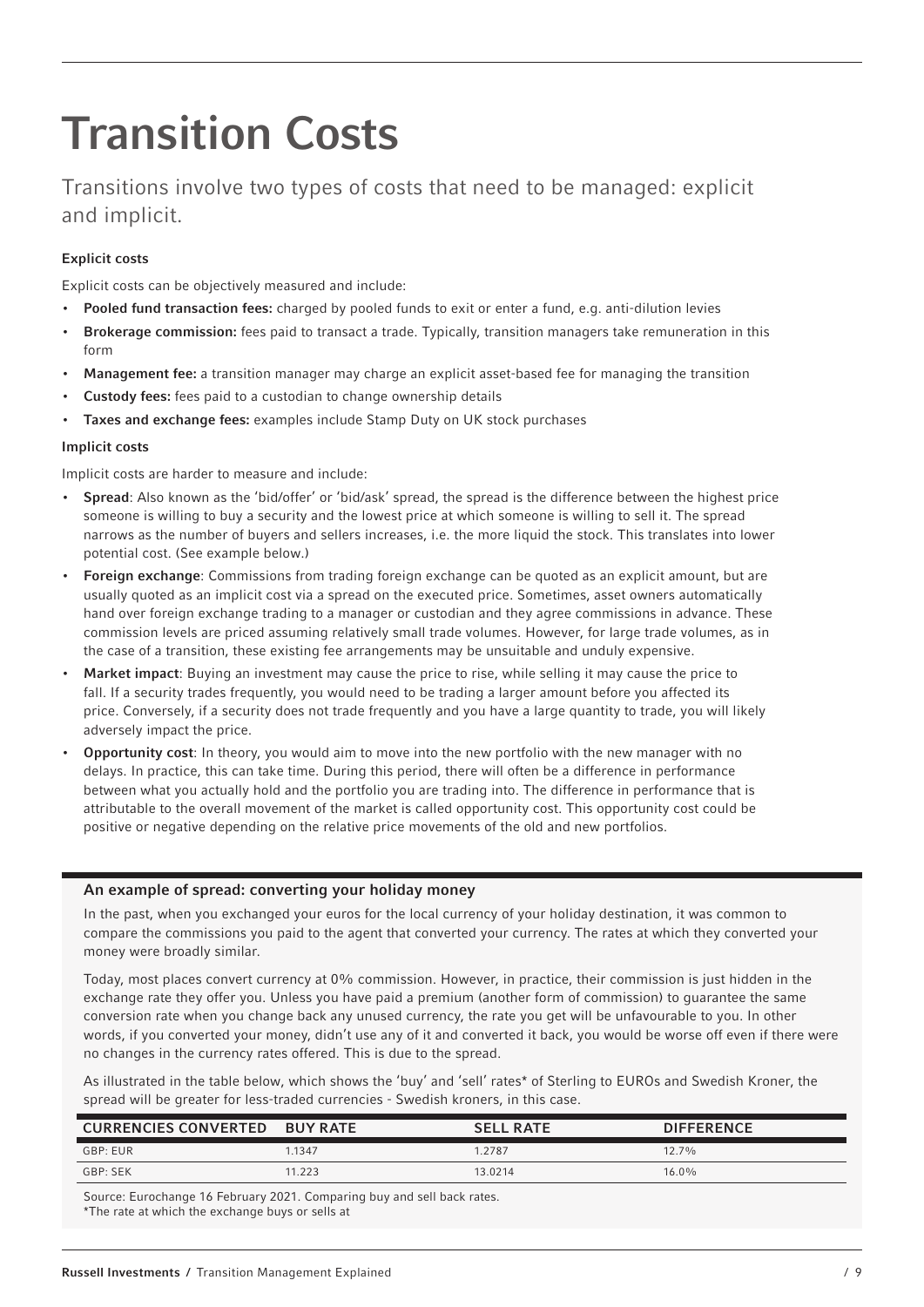# Transition Costs

Transitions involve two types of costs that need to be managed: explicit and implicit.

#### Explicit costs

Explicit costs can be objectively measured and include:

- Pooled fund transaction fees: charged by pooled funds to exit or enter a fund, e.g. anti-dilution levies
- Brokerage commission: fees paid to transact a trade. Typically, transition managers take remuneration in this form
- Management fee: a transition manager may charge an explicit asset-based fee for managing the transition
- Custody fees: fees paid to a custodian to change ownership details
- Taxes and exchange fees: examples include Stamp Duty on UK stock purchases

#### Implicit costs

Implicit costs are harder to measure and include:

- Spread: Also known as the 'bid/offer' or 'bid/ask' spread, the spread is the difference between the highest price someone is willing to buy a security and the lowest price at which someone is willing to sell it. The spread narrows as the number of buyers and sellers increases, i.e. the more liquid the stock. This translates into lower potential cost. (See example below.)
- Foreign exchange: Commissions from trading foreign exchange can be quoted as an explicit amount, but are usually quoted as an implicit cost via a spread on the executed price. Sometimes, asset owners automatically hand over foreign exchange trading to a manager or custodian and they agree commissions in advance. These commission levels are priced assuming relatively small trade volumes. However, for large trade volumes, as in the case of a transition, these existing fee arrangements may be unsuitable and unduly expensive.
- Market impact: Buying an investment may cause the price to rise, while selling it may cause the price to fall. If a security trades frequently, you would need to be trading a larger amount before you affected its price. Conversely, if a security does not trade frequently and you have a large quantity to trade, you will likely adversely impact the price.
- Opportunity cost: In theory, you would aim to move into the new portfolio with the new manager with no delays. In practice, this can take time. During this period, there will often be a difference in performance between what you actually hold and the portfolio you are trading into. The difference in performance that is attributable to the overall movement of the market is called opportunity cost. This opportunity cost could be positive or negative depending on the relative price movements of the old and new portfolios.

#### An example of spread: converting your holiday money

In the past, when you exchanged your euros for the local currency of your holiday destination, it was common to compare the commissions you paid to the agent that converted your currency. The rates at which they converted your money were broadly similar.

Today, most places convert currency at 0% commission. However, in practice, their commission is just hidden in the exchange rate they offer you. Unless you have paid a premium (another form of commission) to guarantee the same conversion rate when you change back any unused currency, the rate you get will be unfavourable to you. In other words, if you converted your money, didn't use any of it and converted it back, you would be worse off even if there were no changes in the currency rates offered. This is due to the spread.

As illustrated in the table below, which shows the 'buy' and 'sell' rates\* of Sterling to EUROs and Swedish Kroner, the spread will be greater for less-traded currencies - Swedish kroners, in this case.

| <b>CURRENCIES CONVERTED</b> | <b>BUY RATE</b> | <b>SELL RATE</b> | <b>DIFFERENCE</b> |
|-----------------------------|-----------------|------------------|-------------------|
| GBP: EUR                    | 1.1347          | 1.2787           | $12.7\%$          |
| GBP: SEK                    | 11.223          | 13.0214          | $16.0\%$          |

Source: Eurochange 16 February 2021. Comparing buy and sell back rates. \*The rate at which the exchange buys or sells at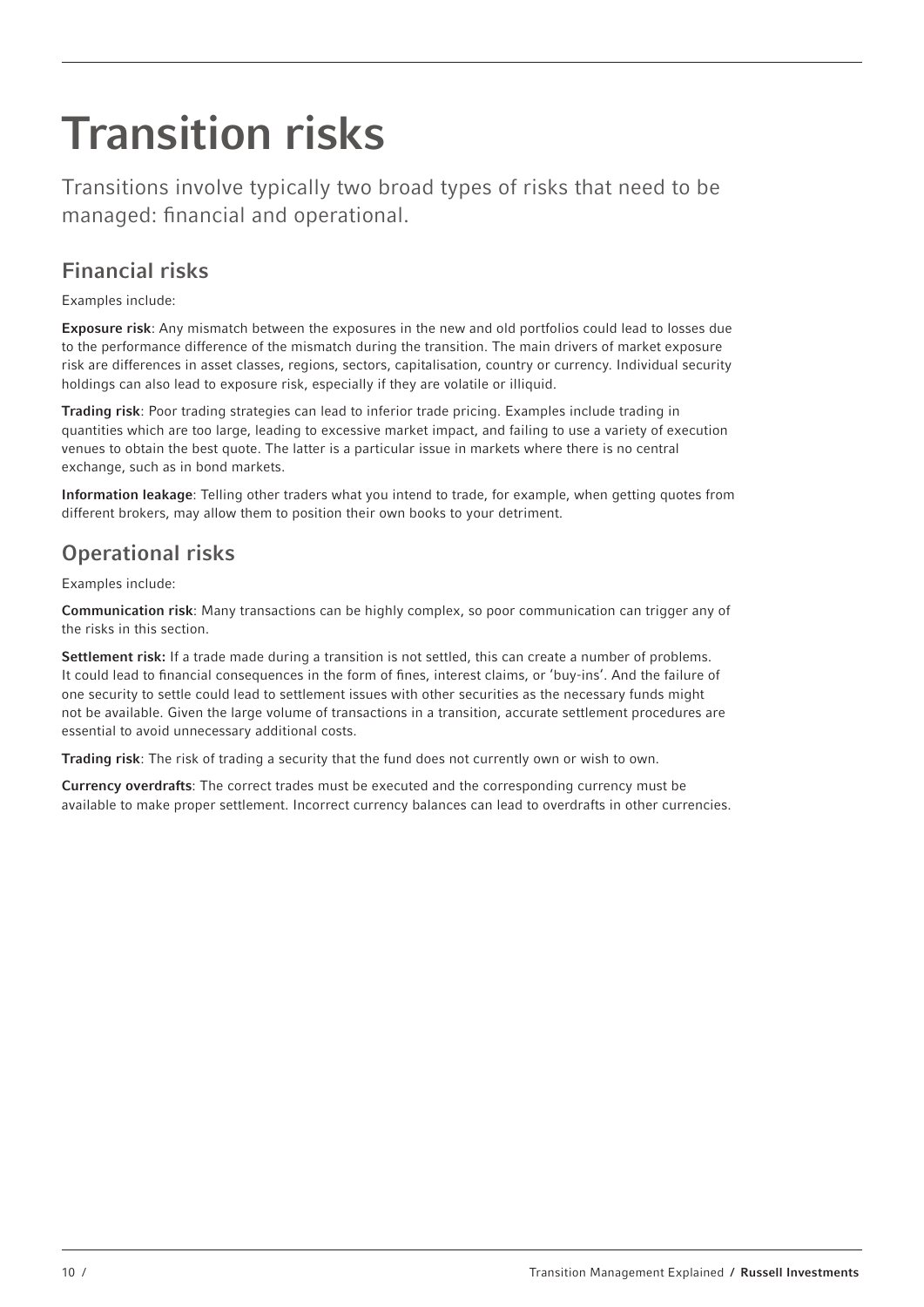# Transition risks

Transitions involve typically two broad types of risks that need to be managed: financial and operational.

## Financial risks

Examples include:

Exposure risk: Any mismatch between the exposures in the new and old portfolios could lead to losses due to the performance difference of the mismatch during the transition. The main drivers of market exposure risk are differences in asset classes, regions, sectors, capitalisation, country or currency. Individual security holdings can also lead to exposure risk, especially if they are volatile or illiquid.

Trading risk: Poor trading strategies can lead to inferior trade pricing. Examples include trading in quantities which are too large, leading to excessive market impact, and failing to use a variety of execution venues to obtain the best quote. The latter is a particular issue in markets where there is no central exchange, such as in bond markets.

Information leakage: Telling other traders what you intend to trade, for example, when getting quotes from different brokers, may allow them to position their own books to your detriment.

## Operational risks

Examples include:

Communication risk: Many transactions can be highly complex, so poor communication can trigger any of the risks in this section.

Settlement risk: If a trade made during a transition is not settled, this can create a number of problems. It could lead to financial consequences in the form of fines, interest claims, or 'buy-ins'. And the failure of one security to settle could lead to settlement issues with other securities as the necessary funds might not be available. Given the large volume of transactions in a transition, accurate settlement procedures are essential to avoid unnecessary additional costs.

Trading risk: The risk of trading a security that the fund does not currently own or wish to own.

Currency overdrafts: The correct trades must be executed and the corresponding currency must be available to make proper settlement. Incorrect currency balances can lead to overdrafts in other currencies.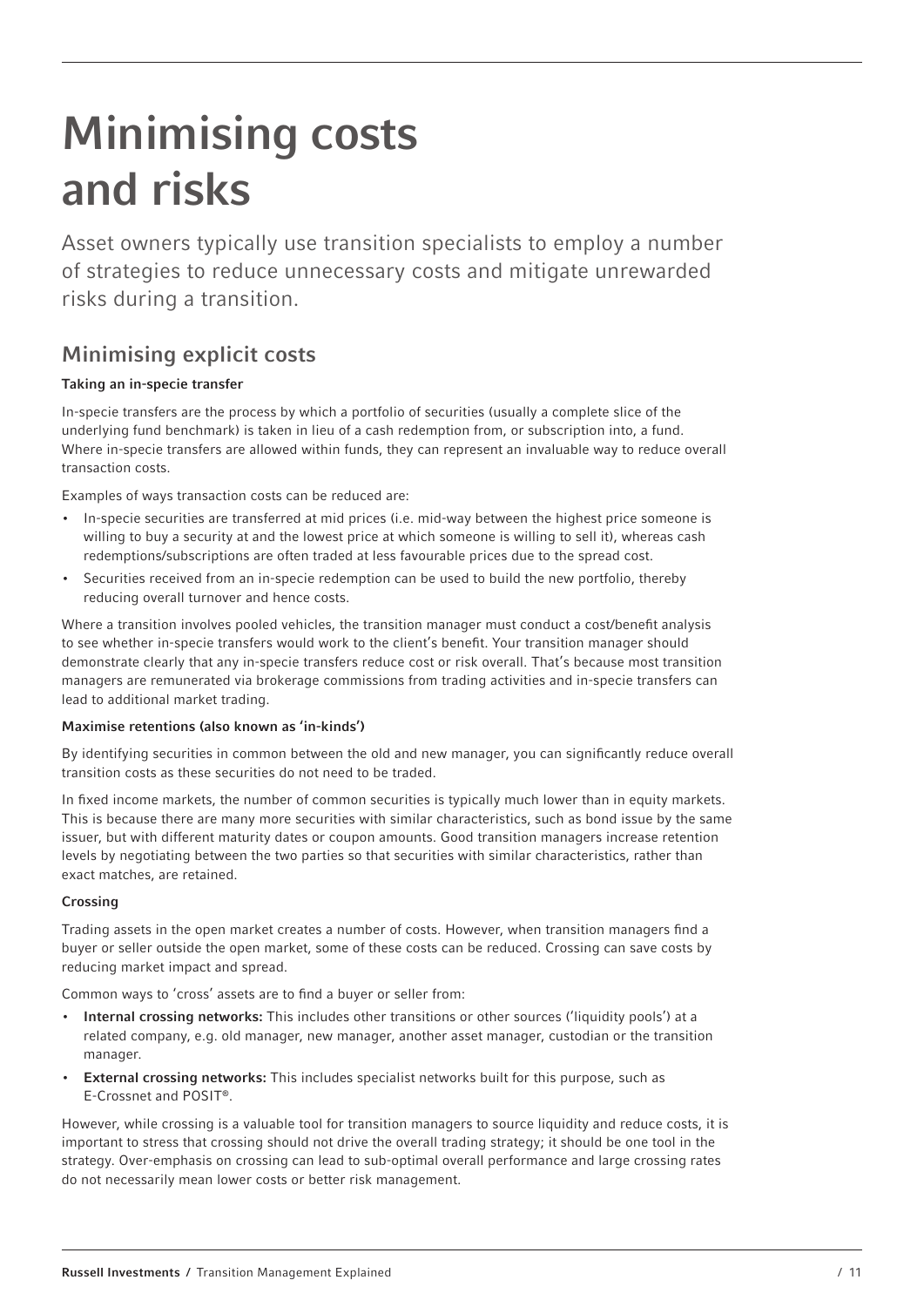## Minimising costs and risks

Asset owners typically use transition specialists to employ a number of strategies to reduce unnecessary costs and mitigate unrewarded risks during a transition.

## Minimising explicit costs

#### Taking an in-specie transfer

In-specie transfers are the process by which a portfolio of securities (usually a complete slice of the underlying fund benchmark) is taken in lieu of a cash redemption from, or subscription into, a fund. Where in-specie transfers are allowed within funds, they can represent an invaluable way to reduce overall transaction costs.

Examples of ways transaction costs can be reduced are:

- In-specie securities are transferred at mid prices (i.e. mid-way between the highest price someone is willing to buy a security at and the lowest price at which someone is willing to sell it), whereas cash redemptions/subscriptions are often traded at less favourable prices due to the spread cost.
- Securities received from an in-specie redemption can be used to build the new portfolio, thereby reducing overall turnover and hence costs.

Where a transition involves pooled vehicles, the transition manager must conduct a cost/benefit analysis to see whether in-specie transfers would work to the client's benefit. Your transition manager should demonstrate clearly that any in-specie transfers reduce cost or risk overall. That's because most transition managers are remunerated via brokerage commissions from trading activities and in-specie transfers can lead to additional market trading.

#### Maximise retentions (also known as 'in-kinds')

By identifying securities in common between the old and new manager, you can significantly reduce overall transition costs as these securities do not need to be traded.

In fixed income markets, the number of common securities is typically much lower than in equity markets. This is because there are many more securities with similar characteristics, such as bond issue by the same issuer, but with different maturity dates or coupon amounts. Good transition managers increase retention levels by negotiating between the two parties so that securities with similar characteristics, rather than exact matches, are retained.

#### Crossing

Trading assets in the open market creates a number of costs. However, when transition managers find a buyer or seller outside the open market, some of these costs can be reduced. Crossing can save costs by reducing market impact and spread.

Common ways to 'cross' assets are to find a buyer or seller from:

- Internal crossing networks: This includes other transitions or other sources ('liquidity pools') at a related company, e.g. old manager, new manager, another asset manager, custodian or the transition manager.
- External crossing networks: This includes specialist networks built for this purpose, such as E-Crossnet and POSIT®.

However, while crossing is a valuable tool for transition managers to source liquidity and reduce costs, it is important to stress that crossing should not drive the overall trading strategy; it should be one tool in the strategy. Over-emphasis on crossing can lead to sub-optimal overall performance and large crossing rates do not necessarily mean lower costs or better risk management.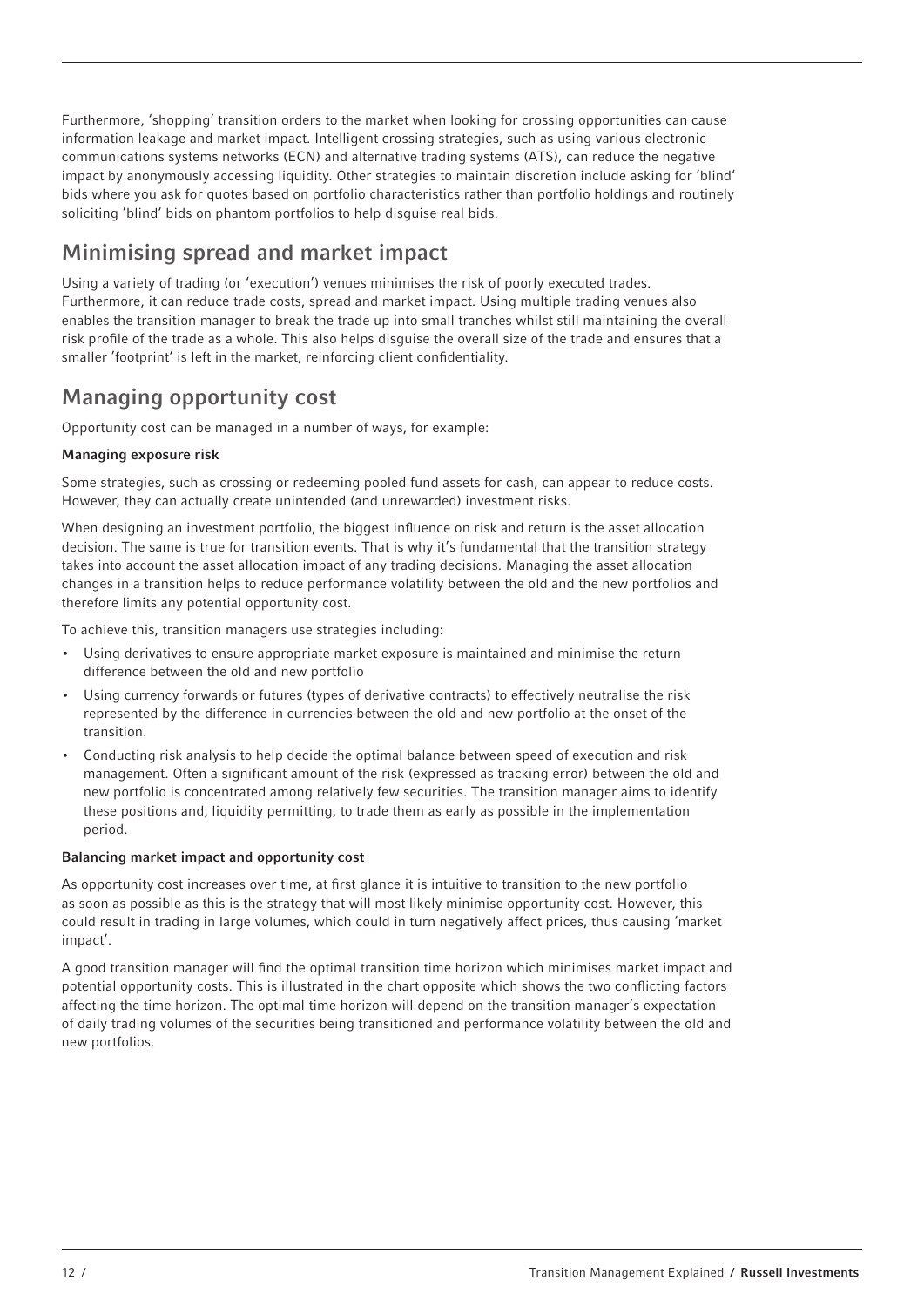Furthermore, 'shopping' transition orders to the market when looking for crossing opportunities can cause information leakage and market impact. Intelligent crossing strategies, such as using various electronic communications systems networks (ECN) and alternative trading systems (ATS), can reduce the negative impact by anonymously accessing liquidity. Other strategies to maintain discretion include asking for 'blind' bids where you ask for quotes based on portfolio characteristics rather than portfolio holdings and routinely soliciting 'blind' bids on phantom portfolios to help disguise real bids.

## Minimising spread and market impact

Using a variety of trading (or 'execution') venues minimises the risk of poorly executed trades. Furthermore, it can reduce trade costs, spread and market impact. Using multiple trading venues also enables the transition manager to break the trade up into small tranches whilst still maintaining the overall risk profile of the trade as a whole. This also helps disguise the overall size of the trade and ensures that a smaller 'footprint' is left in the market, reinforcing client confidentiality.

## Managing opportunity cost

Opportunity cost can be managed in a number of ways, for example:

#### Managing exposure risk

Some strategies, such as crossing or redeeming pooled fund assets for cash, can appear to reduce costs. However, they can actually create unintended (and unrewarded) investment risks.

When designing an investment portfolio, the biggest influence on risk and return is the asset allocation decision. The same is true for transition events. That is why it's fundamental that the transition strategy takes into account the asset allocation impact of any trading decisions. Managing the asset allocation changes in a transition helps to reduce performance volatility between the old and the new portfolios and therefore limits any potential opportunity cost.

To achieve this, transition managers use strategies including:

- Using derivatives to ensure appropriate market exposure is maintained and minimise the return difference between the old and new portfolio
- Using currency forwards or futures (types of derivative contracts) to effectively neutralise the risk represented by the difference in currencies between the old and new portfolio at the onset of the transition.
- Conducting risk analysis to help decide the optimal balance between speed of execution and risk management. Often a significant amount of the risk (expressed as tracking error) between the old and new portfolio is concentrated among relatively few securities. The transition manager aims to identify these positions and, liquidity permitting, to trade them as early as possible in the implementation period.

#### Balancing market impact and opportunity cost

As opportunity cost increases over time, at first glance it is intuitive to transition to the new portfolio as soon as possible as this is the strategy that will most likely minimise opportunity cost. However, this could result in trading in large volumes, which could in turn negatively affect prices, thus causing 'market impact'.

A good transition manager will find the optimal transition time horizon which minimises market impact and potential opportunity costs. This is illustrated in the chart opposite which shows the two conflicting factors affecting the time horizon. The optimal time horizon will depend on the transition manager's expectation of daily trading volumes of the securities being transitioned and performance volatility between the old and new portfolios.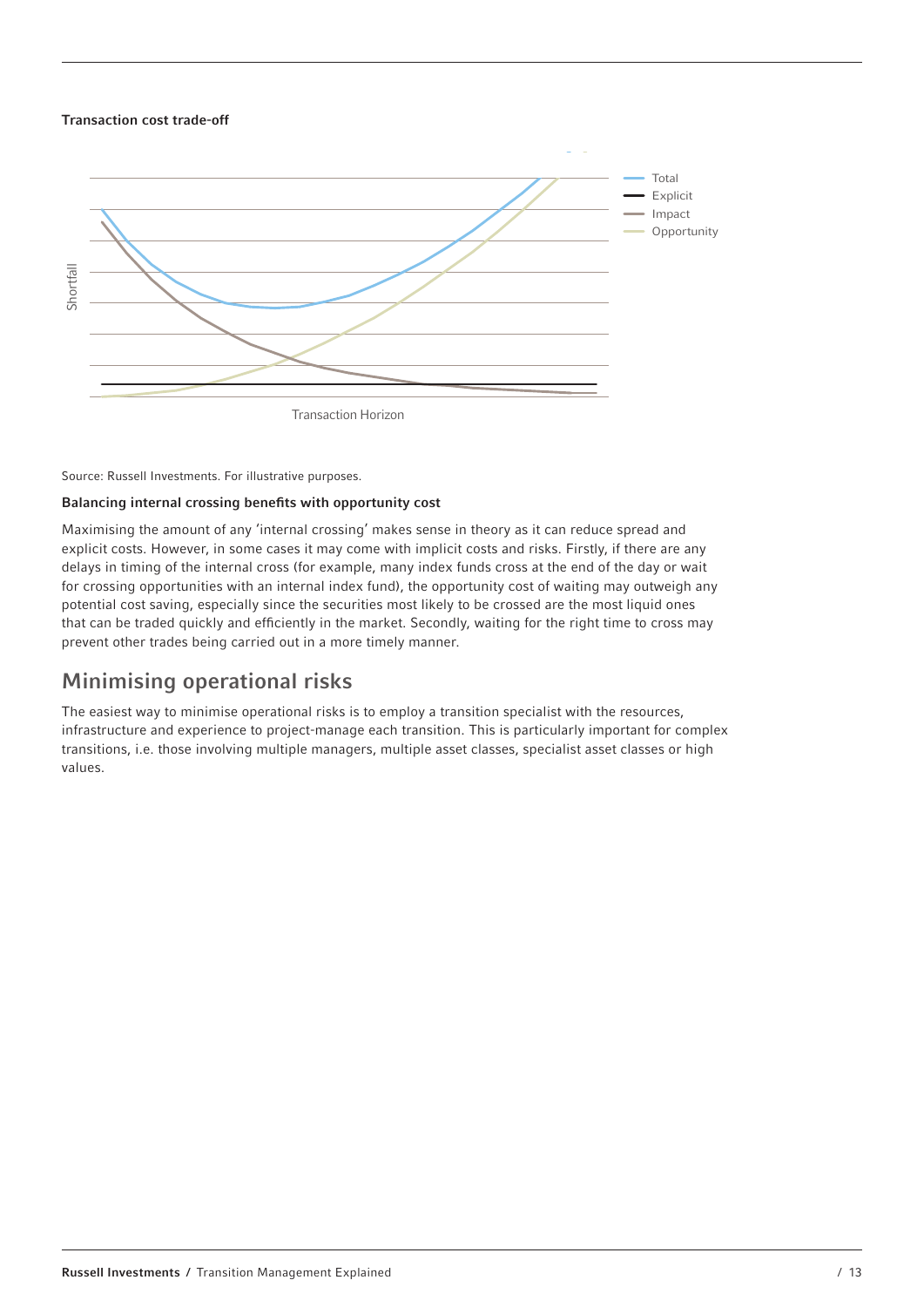#### Transaction cost trade-off



#### Source: Russell Investments. For illustrative purposes.

#### Balancing internal crossing benefits with opportunity cost

Maximising the amount of any 'internal crossing' makes sense in theory as it can reduce spread and explicit costs. However, in some cases it may come with implicit costs and risks. Firstly, if there are any delays in timing of the internal cross (for example, many index funds cross at the end of the day or wait for crossing opportunities with an internal index fund), the opportunity cost of waiting may outweigh any potential cost saving, especially since the securities most likely to be crossed are the most liquid ones that can be traded quickly and efficiently in the market. Secondly, waiting for the right time to cross may prevent other trades being carried out in a more timely manner.

### Minimising operational risks

The easiest way to minimise operational risks is to employ a transition specialist with the resources, infrastructure and experience to project-manage each transition. This is particularly important for complex transitions, i.e. those involving multiple managers, multiple asset classes, specialist asset classes or high values.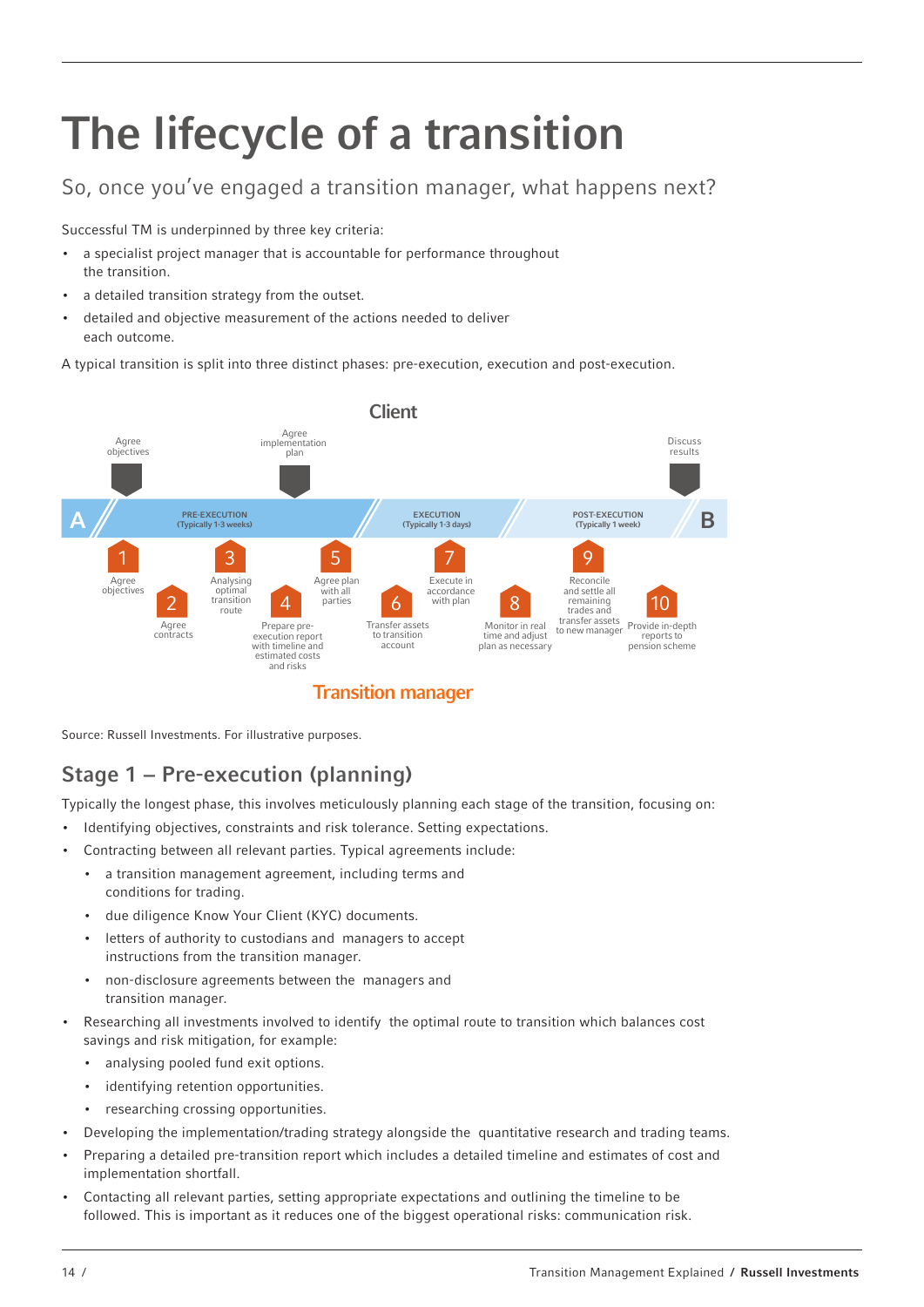# The lifecycle of a transition

## So, once you've engaged a transition manager, what happens next?

Successful TM is underpinned by three key criteria:

- a specialist project manager that is accountable for performance throughout the transition.
- a detailed transition strategy from the outset.
- detailed and objective measurement of the actions needed to deliver each outcome.

A typical transition is split into three distinct phases: pre-execution, execution and post-execution.



Transition manager

Source: Russell Investments. For illustrative purposes.

## Stage 1 − Pre-execution (planning)

Typically the longest phase, this involves meticulously planning each stage of the transition, focusing on:

- Identifying objectives, constraints and risk tolerance. Setting expectations.
- Contracting between all relevant parties. Typical agreements include:
	- a transition management agreement, including terms and conditions for trading.
	- due diligence Know Your Client (KYC) documents.
	- letters of authority to custodians and managers to accept instructions from the transition manager.
	- non-disclosure agreements between the managers and transition manager.
- Researching all investments involved to identify the optimal route to transition which balances cost savings and risk mitigation, for example:
	- analysing pooled fund exit options.
	- identifying retention opportunities.
	- researching crossing opportunities.
- Developing the implementation/trading strategy alongside the quantitative research and trading teams.
- Preparing a detailed pre-transition report which includes a detailed timeline and estimates of cost and implementation shortfall.
- Contacting all relevant parties, setting appropriate expectations and outlining the timeline to be followed. This is important as it reduces one of the biggest operational risks: communication risk.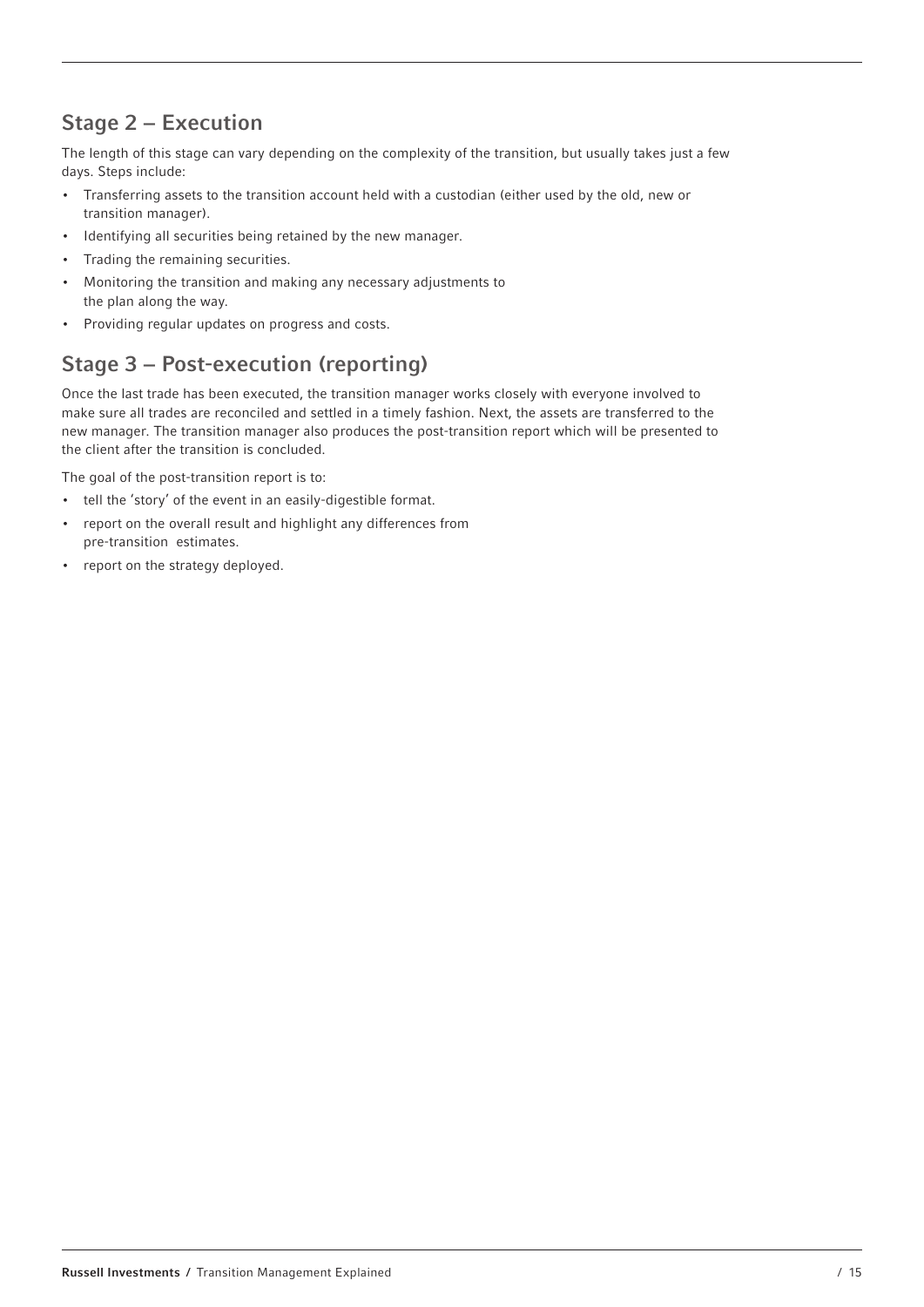## Stage 2 − Execution

The length of this stage can vary depending on the complexity of the transition, but usually takes just a few days. Steps include:

- Transferring assets to the transition account held with a custodian (either used by the old, new or transition manager).
- Identifying all securities being retained by the new manager.
- Trading the remaining securities.
- Monitoring the transition and making any necessary adjustments to the plan along the way.
- Providing regular updates on progress and costs.

## Stage 3 − Post-execution (reporting)

Once the last trade has been executed, the transition manager works closely with everyone involved to make sure all trades are reconciled and settled in a timely fashion. Next, the assets are transferred to the new manager. The transition manager also produces the post-transition report which will be presented to the client after the transition is concluded.

The goal of the post-transition report is to:

- tell the 'story' of the event in an easily-digestible format.
- report on the overall result and highlight any differences from pre-transition estimates.
- report on the strategy deployed.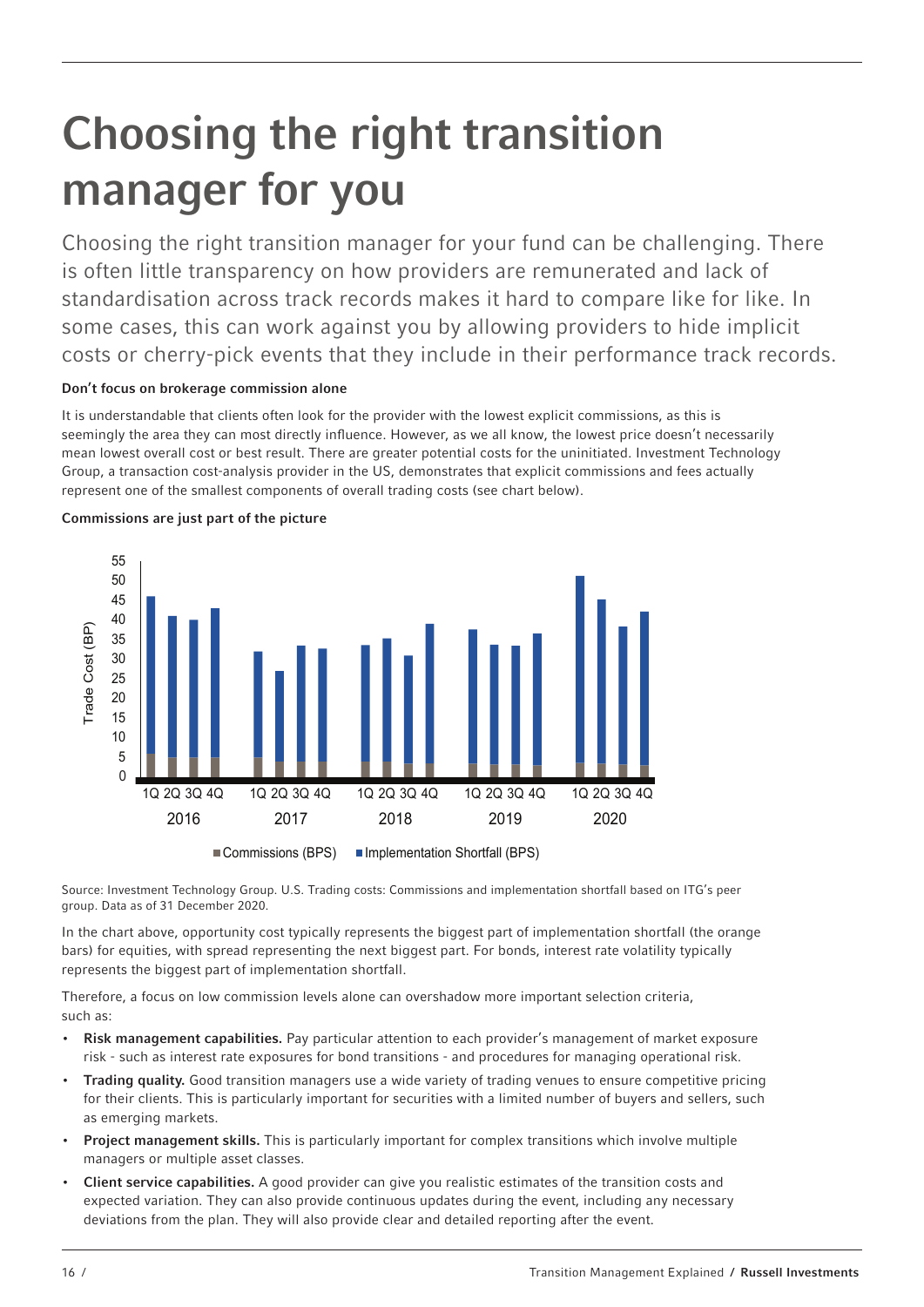# Choosing the right transition manager for you

Choosing the right transition manager for your fund can be challenging. There is often little transparency on how providers are remunerated and lack of standardisation across track records makes it hard to compare like for like. In some cases, this can work against you by allowing providers to hide implicit costs or cherry-pick events that they include in their performance track records.

#### Don't focus on brokerage commission alone

It is understandable that clients often look for the provider with the lowest explicit commissions, as this is seemingly the area they can most directly influence. However, as we all know, the lowest price doesn't necessarily mean lowest overall cost or best result. There are greater potential costs for the uninitiated. Investment Technology Group, a transaction cost-analysis provider in the US, demonstrates that explicit commissions and fees actually represent one of the smallest components of overall trading costs (see chart below).



Commissions are just part of the picture

Source: Investment Technology Group. U.S. Trading costs: Commissions and implementation shortfall based on ITG's peer group. Data as of 31 December 2020.

In the chart above, opportunity cost typically represents the biggest part of implementation shortfall (the orange bars) for equities, with spread representing the next biggest part. For bonds, interest rate volatility typically represents the biggest part of implementation shortfall.

Therefore, a focus on low commission levels alone can overshadow more important selection criteria, such as:

- Risk management capabilities. Pay particular attention to each provider's management of market exposure risk - such as interest rate exposures for bond transitions - and procedures for managing operational risk.
- Trading quality. Good transition managers use a wide variety of trading venues to ensure competitive pricing for their clients. This is particularly important for securities with a limited number of buyers and sellers, such as emerging markets.
- Project management skills. This is particularly important for complex transitions which involve multiple managers or multiple asset classes.
- Client service capabilities. A good provider can give you realistic estimates of the transition costs and expected variation. They can also provide continuous updates during the event, including any necessary deviations from the plan. They will also provide clear and detailed reporting after the event.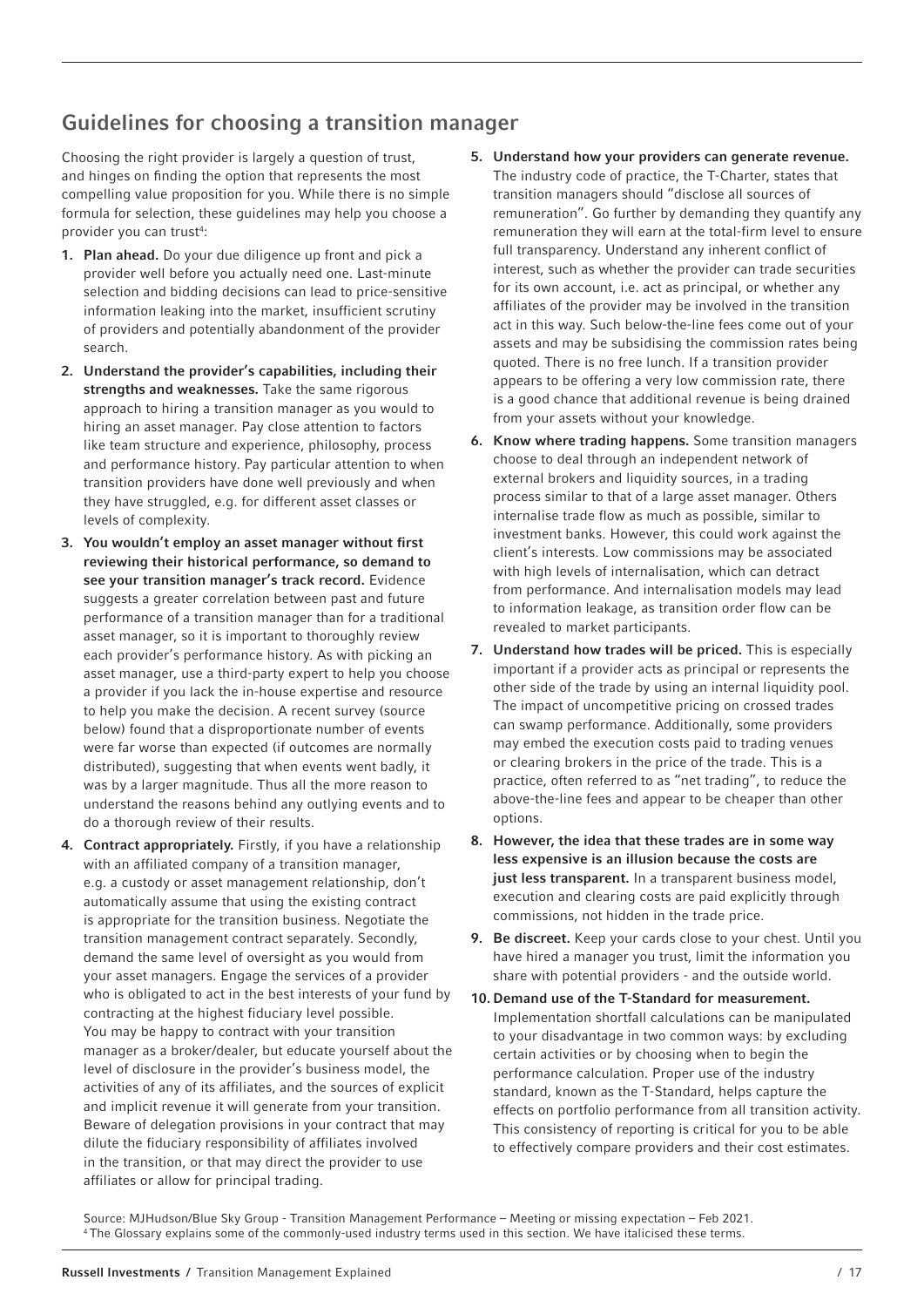## Guidelines for choosing a transition manager

Choosing the right provider is largely a question of trust, and hinges on finding the option that represents the most compelling value proposition for you. While there is no simple formula for selection, these guidelines may help you choose a provider you can trust<sup>4</sup>:

- 1. Plan ahead. Do your due diligence up front and pick a provider well before you actually need one. Last-minute selection and bidding decisions can lead to price-sensitive information leaking into the market, insufficient scrutiny of providers and potentially abandonment of the provider search.
- 2. Understand the provider's capabilities, including their strengths and weaknesses. Take the same rigorous approach to hiring a transition manager as you would to hiring an asset manager. Pay close attention to factors like team structure and experience, philosophy, process and performance history. Pay particular attention to when transition providers have done well previously and when they have struggled, e.g. for different asset classes or levels of complexity.
- 3. You wouldn't employ an asset manager without first reviewing their historical performance, so demand to see your transition manager's track record. Evidence suggests a greater correlation between past and future performance of a transition manager than for a traditional asset manager, so it is important to thoroughly review each provider's performance history. As with picking an asset manager, use a third-party expert to help you choose a provider if you lack the in-house expertise and resource to help you make the decision. A recent survey (source below) found that a disproportionate number of events were far worse than expected (if outcomes are normally distributed), suggesting that when events went badly, it was by a larger magnitude. Thus all the more reason to understand the reasons behind any outlying events and to do a thorough review of their results.
- 4. Contract appropriately. Firstly, if you have a relationship with an affiliated company of a transition manager, e.g. a custody or asset management relationship, don't automatically assume that using the existing contract is appropriate for the transition business. Negotiate the transition management contract separately. Secondly, demand the same level of oversight as you would from your asset managers. Engage the services of a provider who is obligated to act in the best interests of your fund by contracting at the highest fiduciary level possible. You may be happy to contract with your transition manager as a broker/dealer, but educate yourself about the level of disclosure in the provider's business model, the activities of any of its affiliates, and the sources of explicit and implicit revenue it will generate from your transition. Beware of delegation provisions in your contract that may dilute the fiduciary responsibility of affiliates involved in the transition, or that may direct the provider to use affiliates or allow for principal trading.
- 5. Understand how your providers can generate revenue. The industry code of practice, the T-Charter, states that transition managers should "disclose all sources of remuneration". Go further by demanding they quantify any remuneration they will earn at the total-firm level to ensure full transparency. Understand any inherent conflict of interest, such as whether the provider can trade securities for its own account, i.e. act as principal, or whether any affiliates of the provider may be involved in the transition act in this way. Such below-the-line fees come out of your assets and may be subsidising the commission rates being quoted. There is no free lunch. If a transition provider appears to be offering a very low commission rate, there is a good chance that additional revenue is being drained from your assets without your knowledge.
- 6. Know where trading happens. Some transition managers choose to deal through an independent network of external brokers and liquidity sources, in a trading process similar to that of a large asset manager. Others internalise trade flow as much as possible, similar to investment banks. However, this could work against the client's interests. Low commissions may be associated with high levels of internalisation, which can detract from performance. And internalisation models may lead to information leakage, as transition order flow can be revealed to market participants.
- 7. Understand how trades will be priced. This is especially important if a provider acts as principal or represents the other side of the trade by using an internal liquidity pool. The impact of uncompetitive pricing on crossed trades can swamp performance. Additionally, some providers may embed the execution costs paid to trading venues or clearing brokers in the price of the trade. This is a practice, often referred to as "net trading", to reduce the above-the-line fees and appear to be cheaper than other options.
- 8. However, the idea that these trades are in some way less expensive is an illusion because the costs are just less transparent. In a transparent business model, execution and clearing costs are paid explicitly through commissions, not hidden in the trade price.
- 9. Be discreet. Keep your cards close to your chest. Until you have hired a manager you trust, limit the information you share with potential providers - and the outside world.
- 10. Demand use of the T-Standard for measurement. Implementation shortfall calculations can be manipulated to your disadvantage in two common ways: by excluding certain activities or by choosing when to begin the performance calculation. Proper use of the industry standard, known as the T-Standard, helps capture the effects on portfolio performance from all transition activity. This consistency of reporting is critical for you to be able to effectively compare providers and their cost estimates.

Source: MJHudson/Blue Sky Group - Transition Management Performance – Meeting or missing expectation – Feb 2021. 4 The Glossary explains some of the commonly-used industry terms used in this section. We have italicised these terms.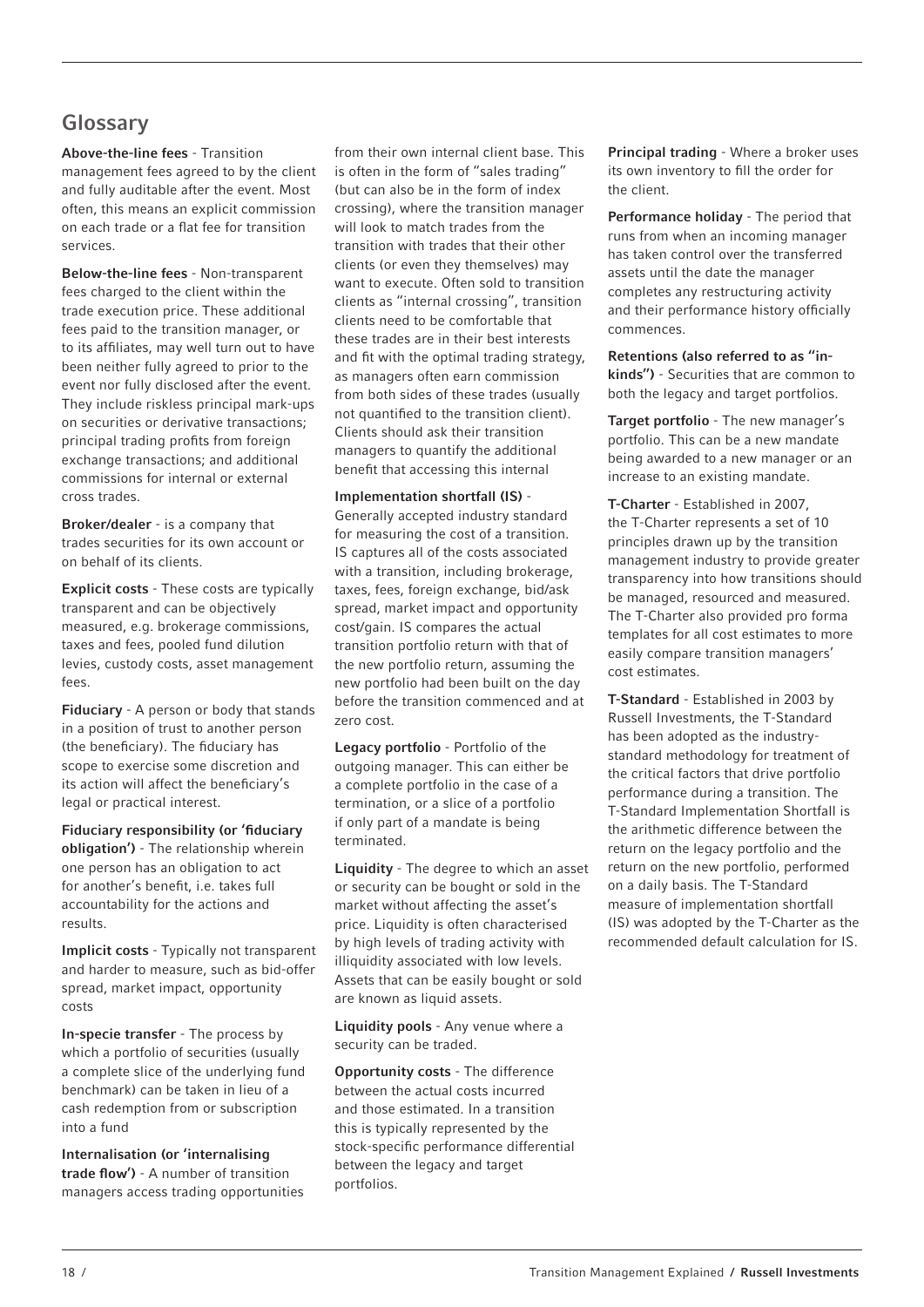## Glossary

Above-the-line fees - Transition management fees agreed to by the client and fully auditable after the event. Most often, this means an explicit commission on each trade or a flat fee for transition services.

Below-the-line fees - Non-transparent fees charged to the client within the trade execution price. These additional fees paid to the transition manager, or to its affiliates, may well turn out to have been neither fully agreed to prior to the event nor fully disclosed after the event. They include riskless principal mark-ups on securities or derivative transactions; principal trading profits from foreign exchange transactions; and additional commissions for internal or external cross trades.

Broker/dealer - is a company that trades securities for its own account or on behalf of its clients.

Explicit costs - These costs are typically transparent and can be objectively measured, e.g. brokerage commissions, taxes and fees, pooled fund dilution levies, custody costs, asset management fees.

Fiduciary - A person or body that stands in a position of trust to another person (the beneficiary). The fiduciary has scope to exercise some discretion and its action will affect the beneficiary's legal or practical interest.

Fiduciary responsibility (or 'fiduciary obligation') - The relationship wherein one person has an obligation to act for another's benefit, i.e. takes full accountability for the actions and results.

Implicit costs - Typically not transparent and harder to measure, such as bid-offer spread, market impact, opportunity costs

In-specie transfer - The process by which a portfolio of securities (usually a complete slice of the underlying fund benchmark) can be taken in lieu of a cash redemption from or subscription into a fund

Internalisation (or 'internalising trade flow') - A number of transition managers access trading opportunities from their own internal client base. This is often in the form of "sales trading" (but can also be in the form of index crossing), where the transition manager will look to match trades from the transition with trades that their other clients (or even they themselves) may want to execute. Often sold to transition clients as "internal crossing", transition clients need to be comfortable that these trades are in their best interests and fit with the optimal trading strategy, as managers often earn commission from both sides of these trades (usually not quantified to the transition client). Clients should ask their transition managers to quantify the additional benefit that accessing this internal

#### Implementation shortfall (IS) -

Generally accepted industry standard for measuring the cost of a transition. IS captures all of the costs associated with a transition, including brokerage. taxes, fees, foreign exchange, bid/ask spread, market impact and opportunity cost/gain. IS compares the actual transition portfolio return with that of the new portfolio return, assuming the new portfolio had been built on the day before the transition commenced and at zero cost.

Legacy portfolio - Portfolio of the outgoing manager. This can either be a complete portfolio in the case of a termination, or a slice of a portfolio if only part of a mandate is being terminated.

Liquidity - The degree to which an asset or security can be bought or sold in the market without affecting the asset's price. Liquidity is often characterised by high levels of trading activity with illiquidity associated with low levels. Assets that can be easily bought or sold are known as liquid assets.

Liquidity pools - Any venue where a security can be traded.

Opportunity costs - The difference between the actual costs incurred and those estimated. In a transition this is typically represented by the stock-specific performance differential between the legacy and target portfolios.

Principal trading - Where a broker uses its own inventory to fill the order for the client.

Performance holiday - The period that runs from when an incoming manager has taken control over the transferred assets until the date the manager completes any restructuring activity and their performance history officially commences.

Retentions (also referred to as "inkinds") - Securities that are common to both the legacy and target portfolios.

Target portfolio - The new manager's portfolio. This can be a new mandate being awarded to a new manager or an increase to an existing mandate.

T-Charter - Established in 2007, the T-Charter represents a set of 10 principles drawn up by the transition management industry to provide greater transparency into how transitions should be managed, resourced and measured. The T-Charter also provided pro forma templates for all cost estimates to more easily compare transition managers' cost estimates.

T-Standard - Established in 2003 by Russell Investments, the T-Standard has been adopted as the industrystandard methodology for treatment of the critical factors that drive portfolio performance during a transition. The T-Standard Implementation Shortfall is the arithmetic difference between the return on the legacy portfolio and the return on the new portfolio, performed on a daily basis. The T-Standard measure of implementation shortfall (IS) was adopted by the T-Charter as the recommended default calculation for IS.